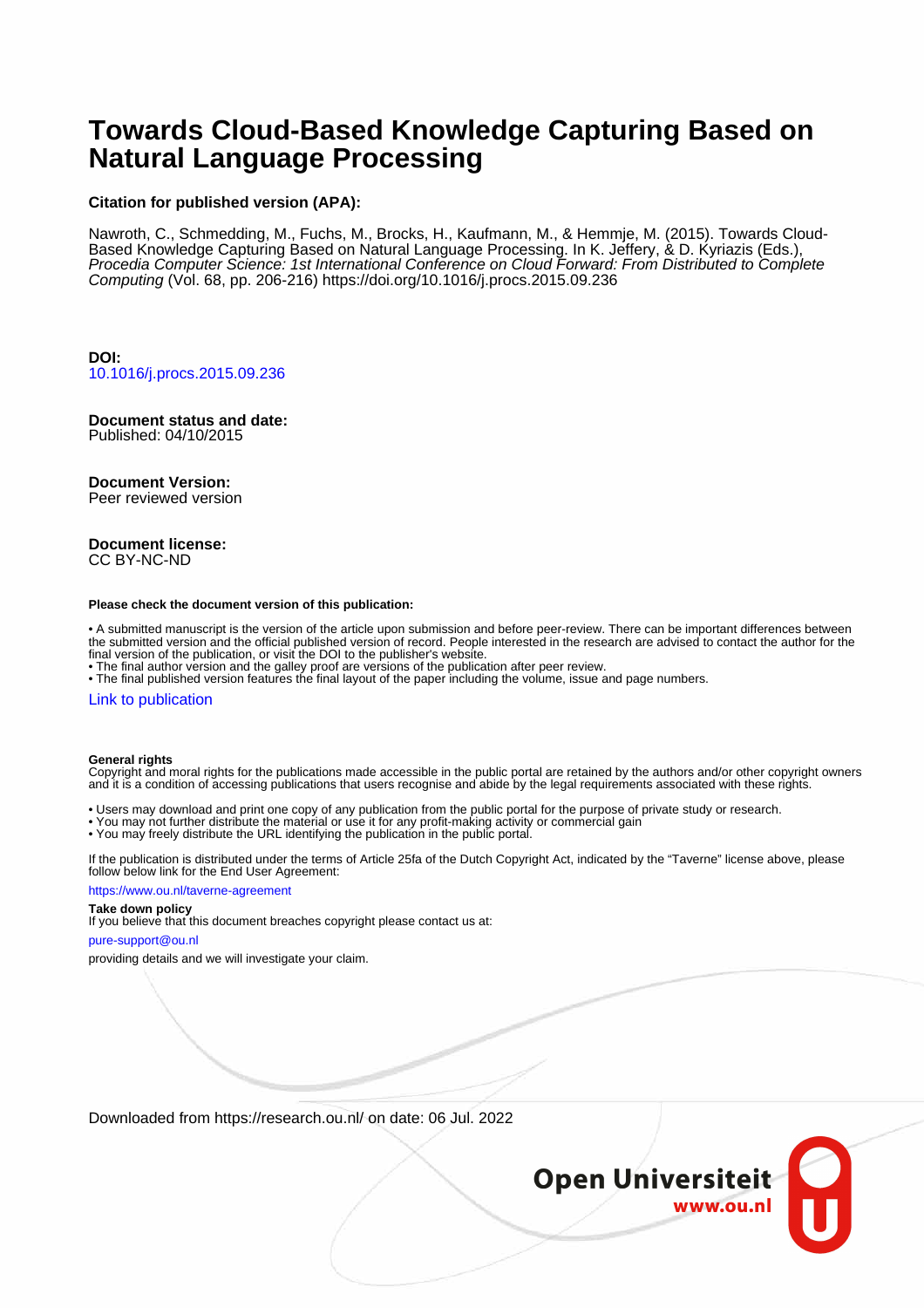# **Towards Cloud-Based Knowledge Capturing Based on Natural Language Processing**

# **Citation for published version (APA):**

Nawroth, C., Schmedding, M., Fuchs, M., Brocks, H., Kaufmann, M., & Hemmje, M. (2015). Towards Cloud-Based Knowledge Capturing Based on Natural Language Processing. In K. Jeffery, & D. Kyriazis (Eds.), Procedia Computer Science: 1st International Conference on Cloud Forward: From Distributed to Complete Computing (Vol. 68, pp. 206-216) <https://doi.org/10.1016/j.procs.2015.09.236>

**DOI:** [10.1016/j.procs.2015.09.236](https://doi.org/10.1016/j.procs.2015.09.236)

# **Document status and date:**

Published: 04/10/2015

# **Document Version:**

Peer reviewed version

#### **Document license:** CC BY-NC-ND

#### **Please check the document version of this publication:**

• A submitted manuscript is the version of the article upon submission and before peer-review. There can be important differences between the submitted version and the official published version of record. People interested in the research are advised to contact the author for the final version of the publication, or visit the DOI to the publisher's website.

• The final author version and the galley proof are versions of the publication after peer review.

• The final published version features the final layout of the paper including the volume, issue and page numbers.

#### [Link to publication](https://research.ou.nl/en/publications/548c8d7b-30ee-4a74-a8b2-d0144e286883)

#### **General rights**

Copyright and moral rights for the publications made accessible in the public portal are retained by the authors and/or other copyright owners and it is a condition of accessing publications that users recognise and abide by the legal requirements associated with these rights.

- Users may download and print one copy of any publication from the public portal for the purpose of private study or research.
- You may not further distribute the material or use it for any profit-making activity or commercial gain
- You may freely distribute the URL identifying the publication in the public portal.

If the publication is distributed under the terms of Article 25fa of the Dutch Copyright Act, indicated by the "Taverne" license above, please follow below link for the End User Agreement:

#### https://www.ou.nl/taverne-agreement

# **Take down policy**

If you believe that this document breaches copyright please contact us at:

#### pure-support@ou.nl

providing details and we will investigate your claim.

Downloaded from https://research.ou.nl/ on date: 06 Jul. 2022

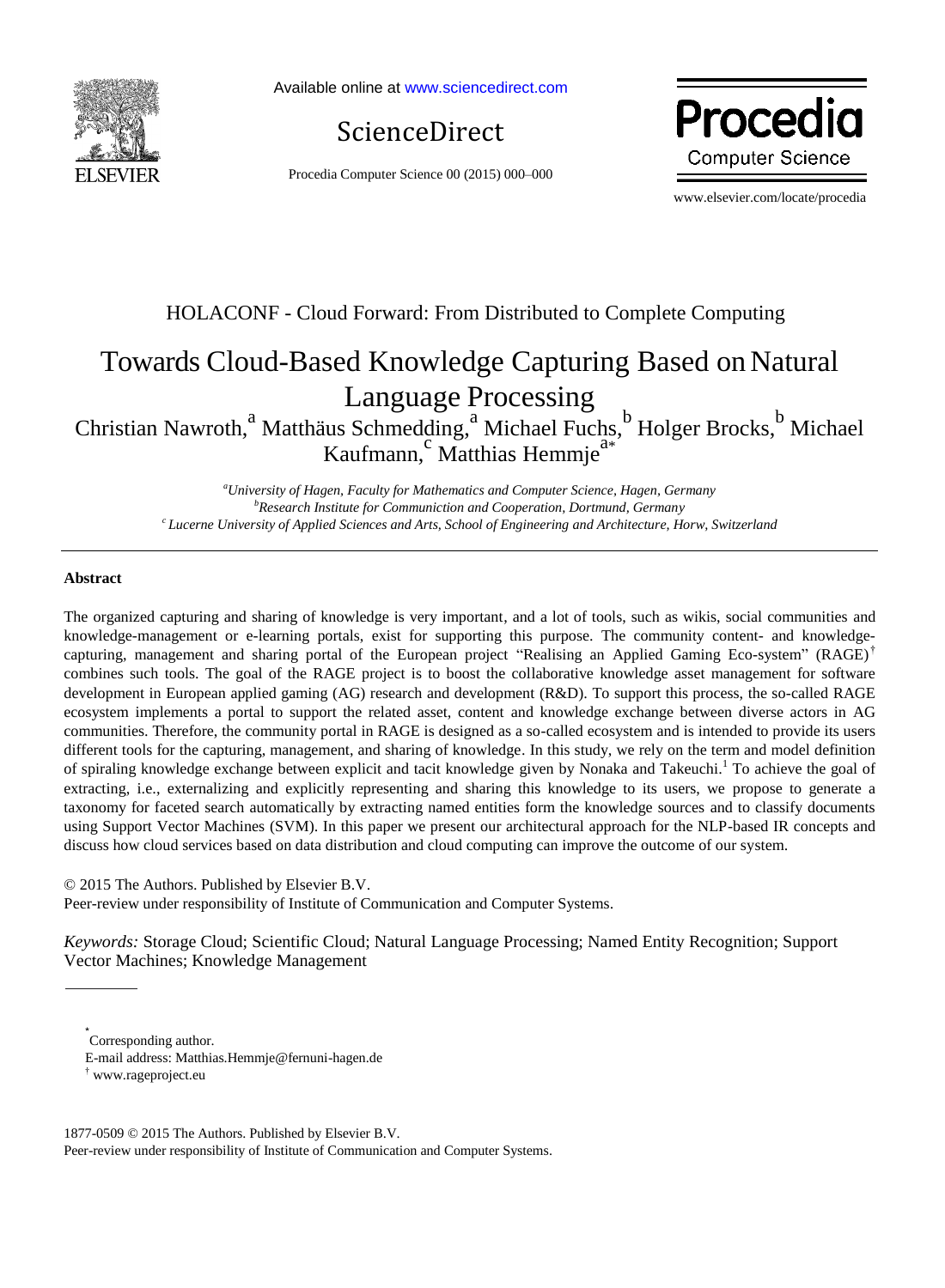

Available online at [www.sciencedirect.com](http://www.sciencedirect.com/science/journal/22120173)

**ScienceDirect** 

Procedia Computer Science 00 (2015) 000–000

Procedi **Computer Science** 

www.elsevier.com/locate/procedia

# HOLACONF - Cloud Forward: From Distributed to Complete Computing

# Towards Cloud-Based Knowledge Capturing Based on Natural Language Processing

Christian Nawroth,<sup>a</sup> Matthäus Schmedding,<sup>a</sup> Michael Fuchs,<sup>b</sup> Holger Brocks,<sup>b</sup> Michael Kaufmann, Matthias Hemmje<sup>a\*</sup>

> *<sup>a</sup>University of Hagen, Faculty for Mathematics and Computer Science, Hagen, Germany <sup>b</sup>Research Institute for Communiction and Cooperation, Dortmund, Germany <sup>c</sup>Lucerne University of Applied Sciences and Arts, School of Engineering and Architecture, Horw, Switzerland*

### **Abstract**

The organized capturing and sharing of knowledge is very important, and a lot of tools, such as wikis, social communities and knowledge-management or e-learning portals, exist for supporting this purpose. The community content- and knowledgecapturing, management and sharing portal of the European project "Realising an Applied Gaming Eco-system" (RAGE) † combines such tools. The goal of the RAGE project is to boost the collaborative knowledge asset management for software development in European applied gaming (AG) research and development (R&D). To support this process, the so-called RAGE ecosystem implements a portal to support the related asset, content and knowledge exchange between diverse actors in AG communities. Therefore, the community portal in RAGE is designed as a so-called ecosystem and is intended to provide its users different tools for the capturing, management, and sharing of knowledge. In this study, we rely on the term and model definition of spiraling knowledge exchange between explicit and tacit knowledge given by Nonaka and Takeuchi.<sup>1</sup> To achieve the goal of extracting, i.e., externalizing and explicitly representing and sharing this knowledge to its users, we propose to generate a taxonomy for faceted search automatically by extracting named entities form the knowledge sources and to classify documents using Support Vector Machines (SVM). In this paper we present our architectural approach for the NLP-based IR concepts and discuss how cloud services based on data distribution and cloud computing can improve the outcome of our system.

© 2015 The Authors. Published by Elsevier B.V. Peer-review under responsibility of Institute of Communication and Computer Systems.

*Keywords:* Storage Cloud; Scientific Cloud; Natural Language Processing; Named Entity Recognition; Support Vector Machines; Knowledge Management

1877-0509 © 2015 The Authors. Published by Elsevier B.V. Peer-review under responsibility of Institute of Communication and Computer Systems.

<sup>\*</sup> Corresponding author.

E-mail address: Matthias.Hemmje@fernuni-hagen.de

<sup>†</sup> www.rageproject.eu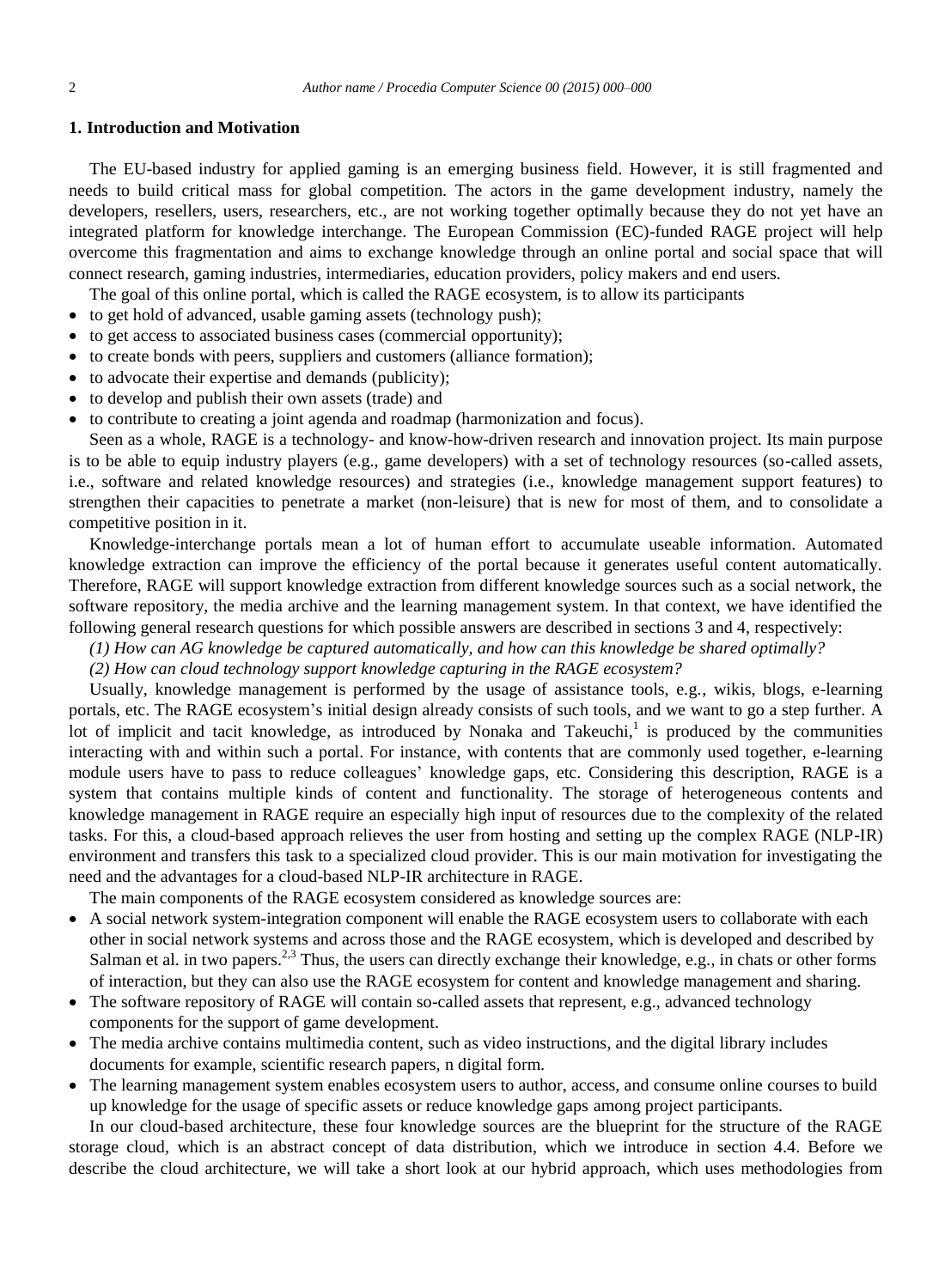# <span id="page-2-0"></span>**1. Introduction and Motivation**

The EU-based industry for applied gaming is an emerging business field. However, it is still fragmented and needs to build critical mass for global competition. The actors in the game development industry, namely the developers, resellers, users, researchers, etc., are not working together optimally because they do not yet have an integrated platform for knowledge interchange. The European Commission (EC)-funded RAGE project will help overcome this fragmentation and aims to exchange knowledge through an online portal and social space that will connect research, gaming industries, intermediaries, education providers, policy makers and end users.

The goal of this online portal, which is called the RAGE ecosystem, is to allow its participants

- to get hold of advanced, usable gaming assets (technology push);
- to get access to associated business cases (commercial opportunity);
- to create bonds with peers, suppliers and customers (alliance formation);
- to advocate their expertise and demands (publicity);
- to develop and publish their own assets (trade) and
- to contribute to creating a joint agenda and roadmap (harmonization and focus).

Seen as a whole, RAGE is a technology- and know-how-driven research and innovation project. Its main purpose is to be able to equip industry players (e.g., game developers) with a set of technology resources (so-called assets, i.e., software and related knowledge resources) and strategies (i.e., knowledge management support features) to strengthen their capacities to penetrate a market (non-leisure) that is new for most of them, and to consolidate a competitive position in it.

Knowledge-interchange portals mean a lot of human effort to accumulate useable information. Automated knowledge extraction can improve the efficiency of the portal because it generates useful content automatically. Therefore, RAGE will support knowledge extraction from different knowledge sources such as a social network, the software repository, the media archive and the learning management system. In that context, we have identified the following general research questions for which possible answers are described in sections 3 and 4, respectively:

*(1) How can AG knowledge be captured automatically, and how can this knowledge be shared optimally?* 

*(2) How can cloud technology support knowledge capturing in the RAGE ecosystem?* 

Usually, knowledge management is performed by the usage of assistance tools, e.g., wikis, blogs, e-learning portals, etc. The RAGE ecosystem's initial design already consists of such tools, and we want to go a step further. A lot of implicit and tacit knowledge, as introduced by Nonaka and Takeuchi,<sup>1</sup> is produced by the communities interacting with and within such a portal. For instance, with contents that are commonly used together, e-learning module users have to pass to reduce colleagues' knowledge gaps, etc. Considering this description, RAGE is a system that contains multiple kinds of content and functionality. The storage of heterogeneous contents and knowledge management in RAGE require an especially high input of resources due to the complexity of the related tasks. For this, a cloud-based approach relieves the user from hosting and setting up the complex RAGE (NLP-IR) environment and transfers this task to a specialized cloud provider. This is our main motivation for investigating the need and the advantages for a cloud-based NLP-IR architecture in RAGE.

The main components of the RAGE ecosystem considered as knowledge sources are:

- A social network system-integration component will enable the RAGE ecosystem users to collaborate with each other in social network systems and across those and the RAGE ecosystem, which is developed and described by Salman et al. in two papers.<sup>2,3</sup> Thus, the users can directly exchange their knowledge, e.g., in chats or other forms of interaction, but they can also use the RAGE ecosystem for content and knowledge management and sharing.
- The software repository of RAGE will contain so-called assets that represent, e.g., advanced technology components for the support of game development.
- The media archive contains multimedia content, such as video instructions, and the digital library includes documents for example, scientific research papers, n digital form.
- The learning management system enables ecosystem users to author, access, and consume online courses to build up knowledge for the usage of specific assets or reduce knowledge gaps among project participants.

In our cloud-based architecture, these four knowledge sources are the blueprint for the structure of the RAGE storage cloud, which is an abstract concept of data distribution, which we introduce in section [4.4.](#page-8-0) Before we describe the cloud architecture, we will take a short look at our hybrid approach, which uses methodologies from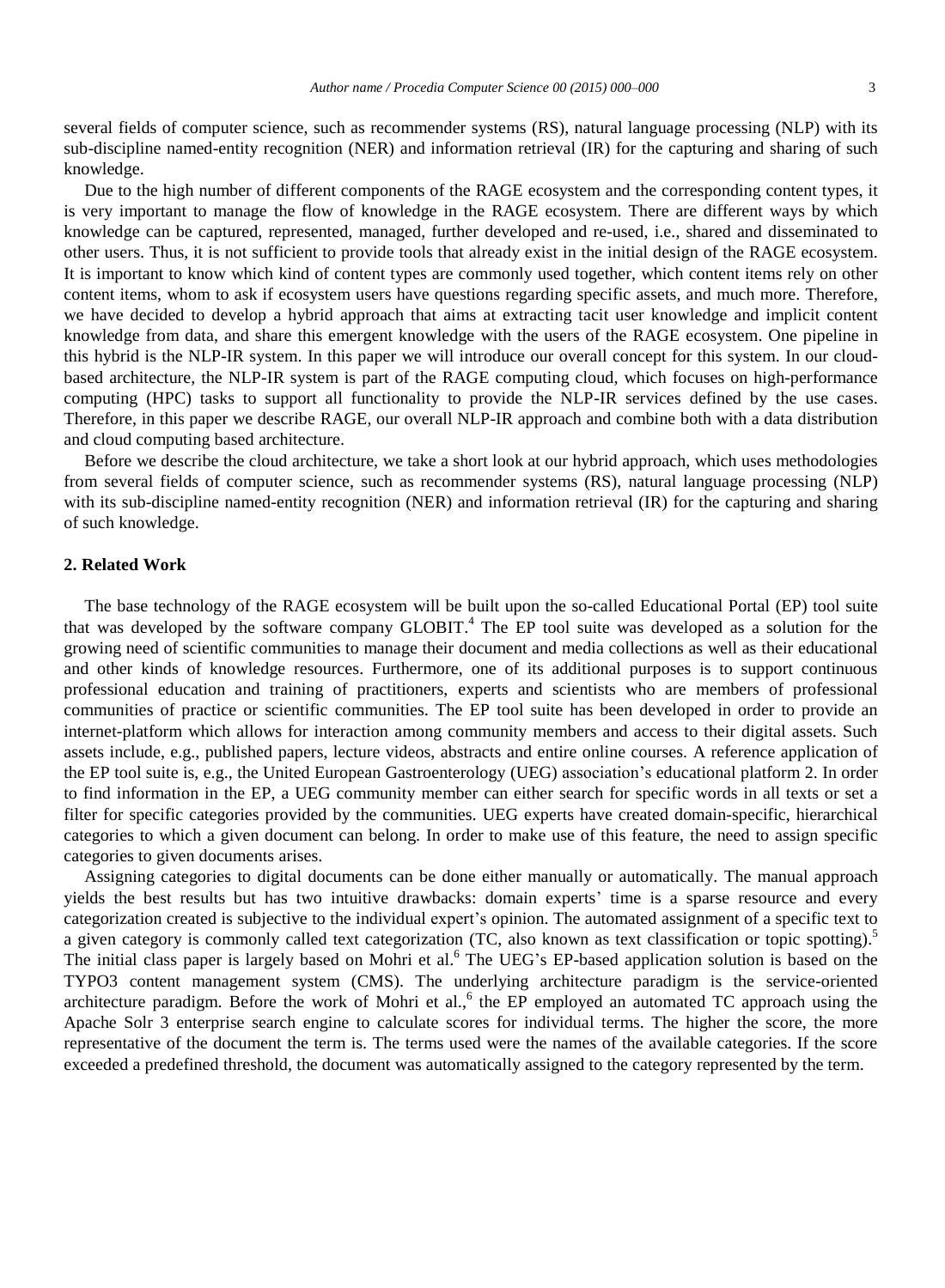several fields of computer science, such as recommender systems (RS), natural language processing (NLP) with its sub-discipline named-entity recognition (NER) and information retrieval (IR) for the capturing and sharing of such knowledge.

Due to the high number of different components of the RAGE ecosystem and the corresponding content types, it is very important to manage the flow of knowledge in the RAGE ecosystem. There are different ways by which knowledge can be captured, represented, managed, further developed and re-used, i.e., shared and disseminated to other users. Thus, it is not sufficient to provide tools that already exist in the initial design of the RAGE ecosystem. It is important to know which kind of content types are commonly used together, which content items rely on other content items, whom to ask if ecosystem users have questions regarding specific assets, and much more. Therefore, we have decided to develop a hybrid approach that aims at extracting tacit user knowledge and implicit content knowledge from data, and share this emergent knowledge with the users of the RAGE ecosystem. One pipeline in this hybrid is the NLP-IR system. In this paper we will introduce our overall concept for this system. In our cloudbased architecture, the NLP-IR system is part of the RAGE computing cloud, which focuses on high-performance computing (HPC) tasks to support all functionality to provide the NLP-IR services defined by the use cases. Therefore, in this paper we describe RAGE, our overall NLP-IR approach and combine both with a data distribution and cloud computing based architecture.

Before we describe the cloud architecture, we take a short look at our hybrid approach, which uses methodologies from several fields of computer science, such as recommender systems (RS), natural language processing (NLP) with its sub-discipline named-entity recognition (NER) and information retrieval (IR) for the capturing and sharing of such knowledge.

# **2. Related Work**

The base technology of the RAGE ecosystem will be built upon the so-called Educational Portal (EP) tool suite that was developed by the software company GLOBIT.<sup>4</sup> The EP tool suite was developed as a solution for the growing need of scientific communities to manage their document and media collections as well as their educational and other kinds of knowledge resources. Furthermore, one of its additional purposes is to support continuous professional education and training of practitioners, experts and scientists who are members of professional communities of practice or scientific communities. The EP tool suite has been developed in order to provide an internet-platform which allows for interaction among community members and access to their digital assets. Such assets include, e.g., published papers, lecture videos, abstracts and entire online courses. A reference application of the EP tool suite is, e.g., the United European Gastroenterology (UEG) association's educational platform 2. In order to find information in the EP, a UEG community member can either search for specific words in all texts or set a filter for specific categories provided by the communities. UEG experts have created domain-specific, hierarchical categories to which a given document can belong. In order to make use of this feature, the need to assign specific categories to given documents arises.

Assigning categories to digital documents can be done either manually or automatically. The manual approach yields the best results but has two intuitive drawbacks: domain experts' time is a sparse resource and every categorization created is subjective to the individual expert's opinion. The automated assignment of a specific text to a given category is commonly called text categorization (TC, also known as text classification or topic spotting).<sup>5</sup> The initial class paper is largely based on Mohri et al.<sup>6</sup> The UEG's EP-based application solution is based on the TYPO3 content management system (CMS). The underlying architecture paradigm is the service-oriented architecture paradigm. Before the work of Mohri et al.,<sup>6</sup> the EP employed an automated TC approach using the Apache Solr 3 enterprise search engine to calculate scores for individual terms. The higher the score, the more representative of the document the term is. The terms used were the names of the available categories. If the score exceeded a predefined threshold, the document was automatically assigned to the category represented by the term.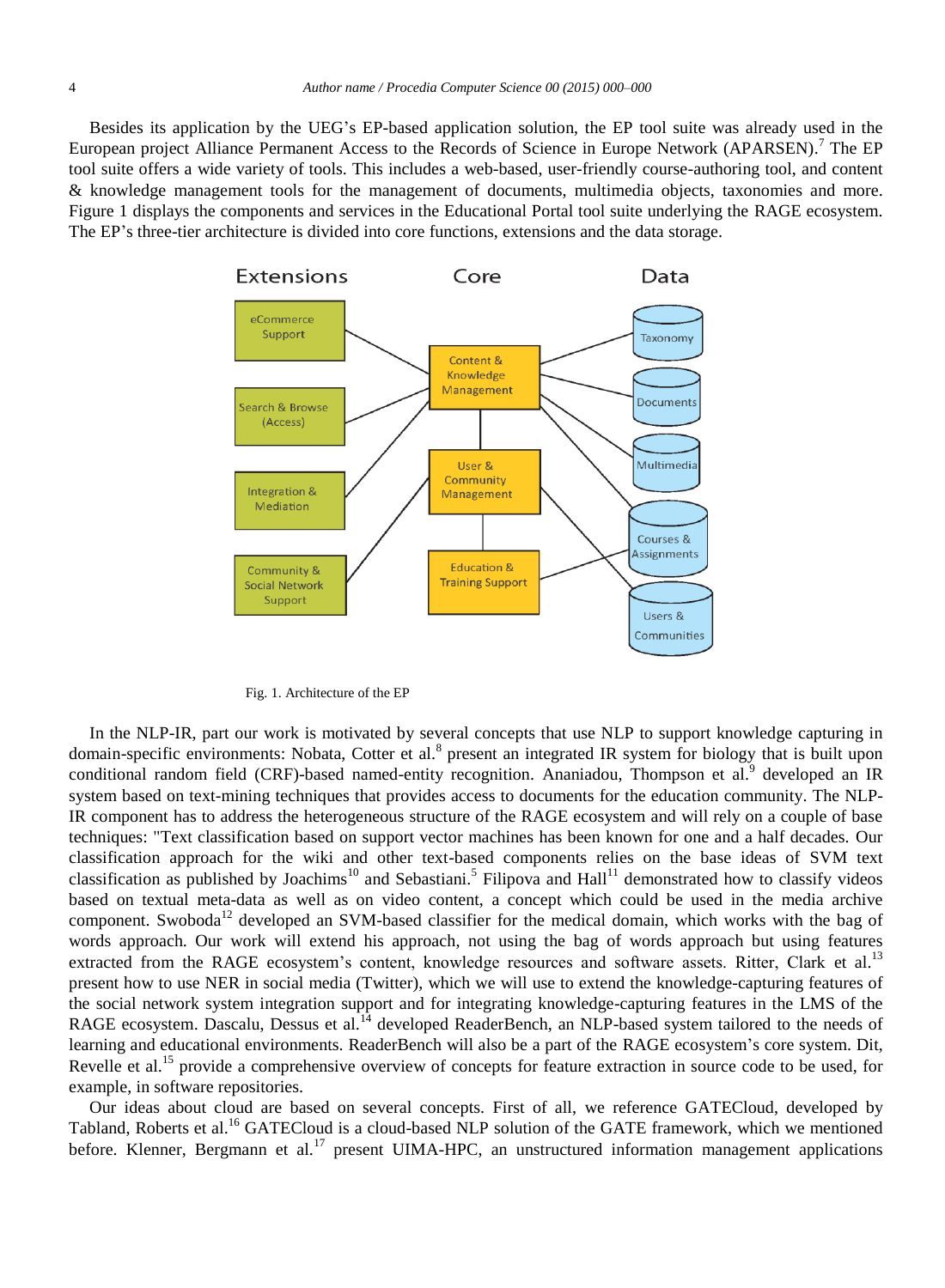Besides its application by the UEG's EP-based application solution, the EP tool suite was already used in the European project Alliance Permanent Access to the Records of Science in Europe Network (APARSEN).<sup>7</sup> The EP tool suite offers a wide variety of tools. This includes a web-based, user-friendly course-authoring tool, and content & knowledge management tools for the management of documents, multimedia objects, taxonomies and more. Figure 1 displays the components and services in the Educational Portal tool suite underlying the RAGE ecosystem. The EP's three-tier architecture is divided into core functions, extensions and the data storage.



Fig. 1. Architecture of the EP

In the NLP-IR, part our work is motivated by several concepts that use NLP to support knowledge capturing in domain-specific environments: Nobata, Cotter et al.<sup>8</sup> present an integrated IR system for biology that is built upon conditional random field (CRF)-based named-entity recognition. Ananiadou, Thompson et al.<sup>9</sup> developed an IR system based on text-mining techniques that provides access to documents for the education community. The NLP-IR component has to address the heterogeneous structure of the RAGE ecosystem and will rely on a couple of base techniques: "Text classification based on support vector machines has been known for one and a half decades. Our classification approach for the wiki and other text-based components relies on the base ideas of SVM text classification as published by Joachims<sup>10</sup> and Sebastiani.<sup>5</sup> Filipova and Hall<sup>11</sup> demonstrated how to classify videos based on textual meta-data as well as on video content, a concept which could be used in the media archive component. Swoboda<sup>12</sup> developed an SVM-based classifier for the medical domain, which works with the bag of words approach. Our work will extend his approach, not using the bag of words approach but using features extracted from the RAGE ecosystem's content, knowledge resources and software assets. Ritter, Clark et al.<sup>13</sup> present how to use NER in social media (Twitter), which we will use to extend the knowledge-capturing features of the social network system integration support and for integrating knowledge-capturing features in the LMS of the RAGE ecosystem. Dascalu, Dessus et al.<sup>14</sup> developed ReaderBench, an NLP-based system tailored to the needs of learning and educational environments. ReaderBench will also be a part of the RAGE ecosystem's core system. Dit, Revelle et al.<sup>15</sup> provide a comprehensive overview of concepts for feature extraction in source code to be used, for example, in software repositories.

Our ideas about cloud are based on several concepts. First of all, we reference GATECloud, developed by Tabland, Roberts et al.<sup>16</sup> GATECloud is a cloud-based NLP solution of the GATE framework, which we mentioned before. Klenner, Bergmann et al.<sup>17</sup> present UIMA-HPC, an unstructured information management applications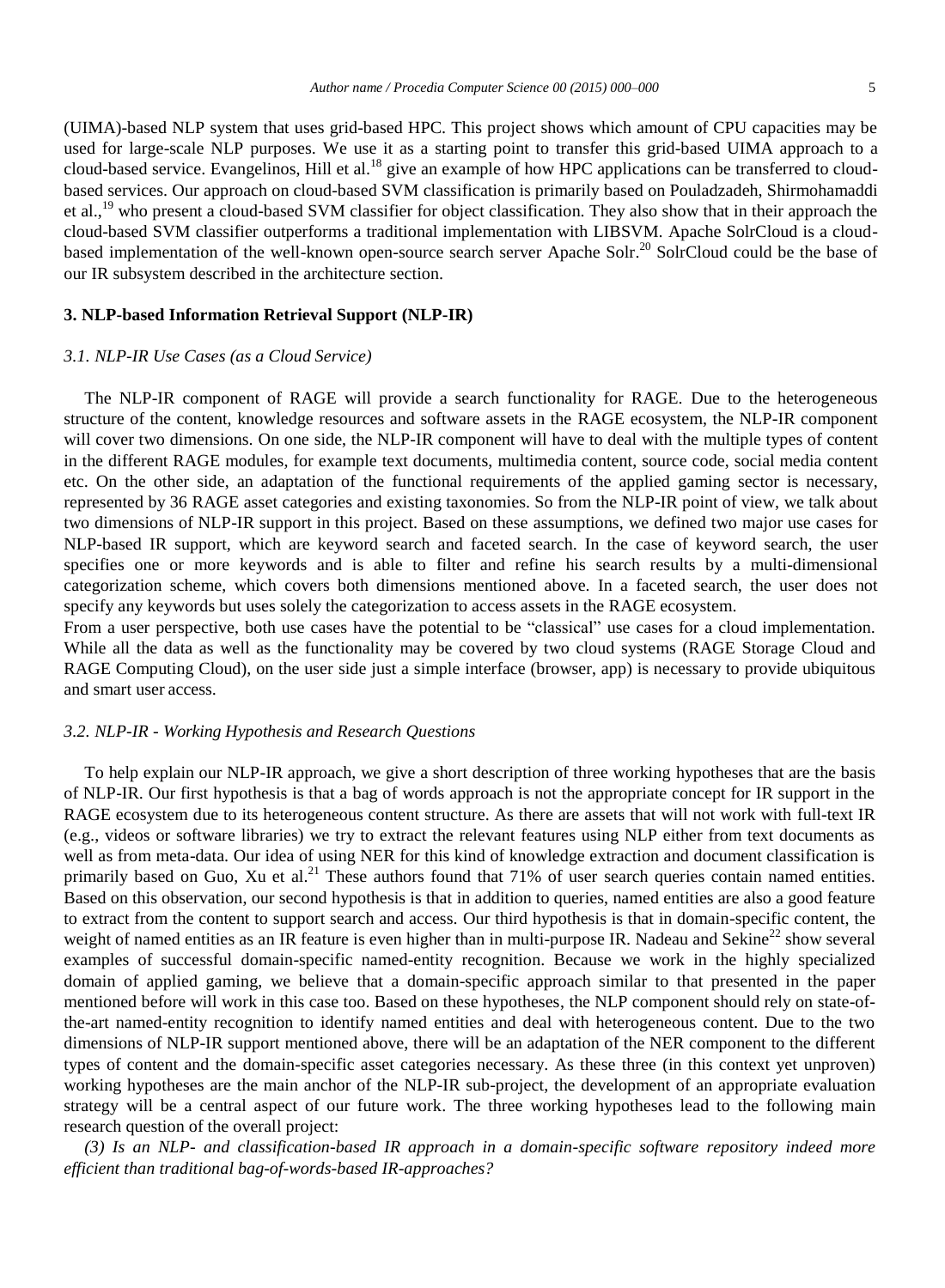(UIMA)-based NLP system that uses grid-based HPC. This project shows which amount of CPU capacities may be used for large-scale NLP purposes. We use it as a starting point to transfer this grid-based UIMA approach to a cloud-based service. Evangelinos, Hill et al.<sup>18</sup> give an example of how HPC applications can be transferred to cloudbased services. Our approach on cloud-based SVM classification is primarily based on Pouladzadeh, Shirmohamaddi et al.,<sup>19</sup> who present a cloud-based SVM classifier for object classification. They also show that in their approach the cloud-based SVM classifier outperforms a traditional implementation with LIBSVM. Apache SolrCloud is a cloudbased implementation of the well-known open-source search server Apache Solr.<sup>20</sup> SolrCloud could be the base of our IR subsystem described in the architecture section.

# **3. NLP-based Information Retrieval Support (NLP-IR)**

# *3.1. NLP-IR Use Cases (as a Cloud Service)*

The NLP-IR component of RAGE will provide a search functionality for RAGE. Due to the heterogeneous structure of the content, knowledge resources and software assets in the RAGE ecosystem, the NLP-IR component will cover two dimensions. On one side, the NLP-IR component will have to deal with the multiple types of content in the different RAGE modules, for example text documents, multimedia content, source code, social media content etc. On the other side, an adaptation of the functional requirements of the applied gaming sector is necessary, represented by 36 RAGE asset categories and existing taxonomies. So from the NLP-IR point of view, we talk about two dimensions of NLP-IR support in this project. Based on these assumptions, we defined two major use cases for NLP-based IR support, which are keyword search and faceted search. In the case of keyword search, the user specifies one or more keywords and is able to filter and refine his search results by a multi-dimensional categorization scheme, which covers both dimensions mentioned above. In a faceted search, the user does not specify any keywords but uses solely the categorization to access assets in the RAGE ecosystem.

From a user perspective, both use cases have the potential to be "classical" use cases for a cloud implementation. While all the data as well as the functionality may be covered by two cloud systems (RAGE Storage Cloud and RAGE Computing Cloud), on the user side just a simple interface (browser, app) is necessary to provide ubiquitous and smart user access.

### *3.2. NLP-IR - Working Hypothesis and Research Questions*

To help explain our NLP-IR approach, we give a short description of three working hypotheses that are the basis of NLP-IR. Our first hypothesis is that a bag of words approach is not the appropriate concept for IR support in the RAGE ecosystem due to its heterogeneous content structure. As there are assets that will not work with full-text IR (e.g., videos or software libraries) we try to extract the relevant features using NLP either from text documents as well as from meta-data. Our idea of using NER for this kind of knowledge extraction and document classification is primarily based on Guo, Xu et al.<sup>21</sup> These authors found that 71% of user search queries contain named entities. Based on this observation, our second hypothesis is that in addition to queries, named entities are also a good feature to extract from the content to support search and access. Our third hypothesis is that in domain-specific content, the weight of named entities as an IR feature is even higher than in multi-purpose IR. Nadeau and Sekine<sup>22</sup> show several examples of successful domain-specific named-entity recognition. Because we work in the highly specialized domain of applied gaming, we believe that a domain-specific approach similar to that presented in the paper mentioned before will work in this case too. Based on these hypotheses, the NLP component should rely on state-ofthe-art named-entity recognition to identify named entities and deal with heterogeneous content. Due to the two dimensions of NLP-IR support mentioned above, there will be an adaptation of the NER component to the different types of content and the domain-specific asset categories necessary. As these three (in this context yet unproven) working hypotheses are the main anchor of the NLP-IR sub-project, the development of an appropriate evaluation strategy will be a central aspect of our future work. The three working hypotheses lead to the following main research question of the overall project:

*(3) Is an NLP- and classification-based IR approach in a domain-specific software repository indeed more efficient than traditional bag-of-words-based IR-approaches?*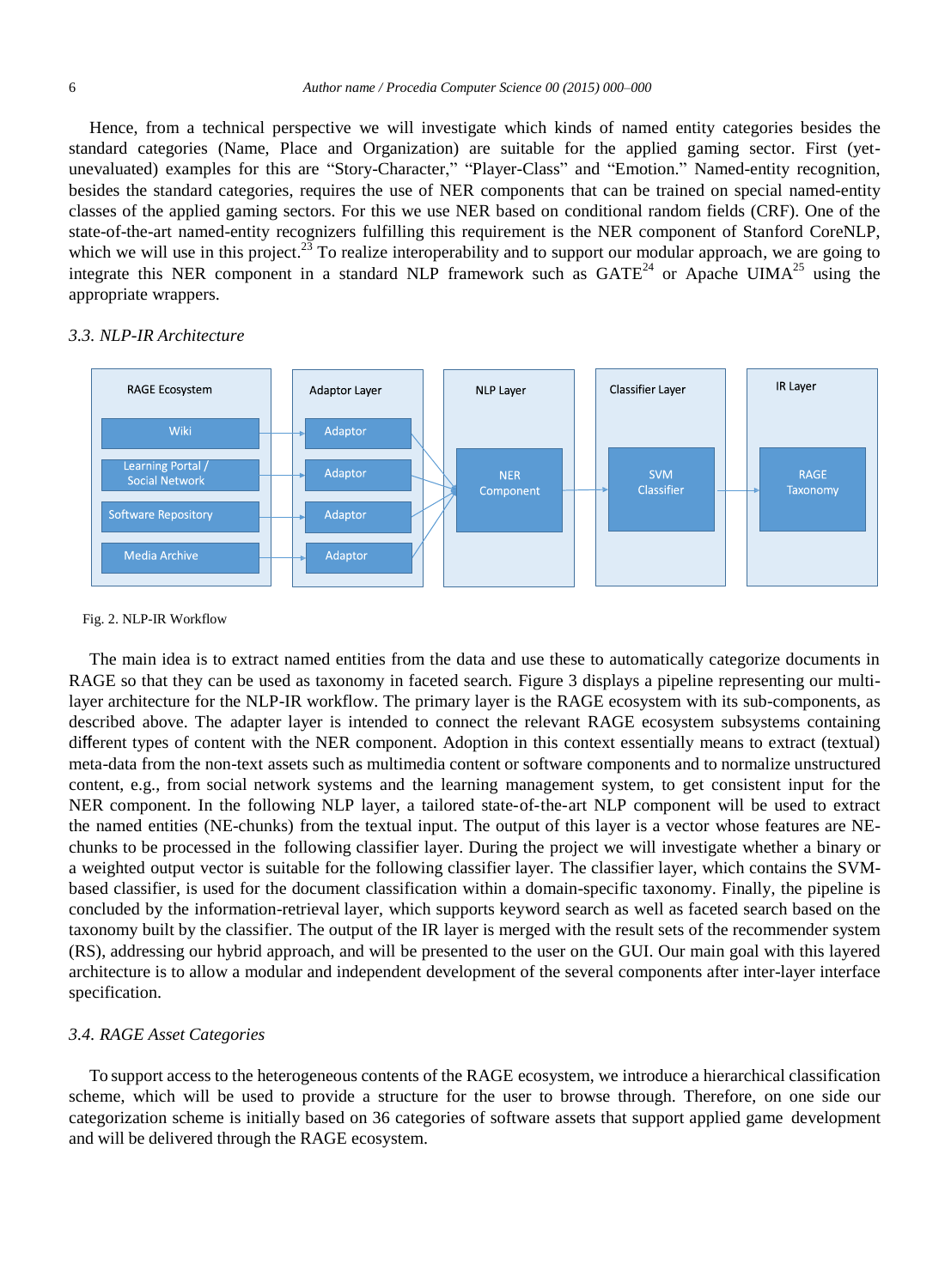Hence, from a technical perspective we will investigate which kinds of named entity categories besides the standard categories (Name, Place and Organization) are suitable for the applied gaming sector. First (yetunevaluated) examples for this are "Story-Character," "Player-Class" and "Emotion." Named-entity recognition, besides the standard categories, requires the use of NER components that can be trained on special named-entity classes of the applied gaming sectors. For this we use NER based on conditional random fields (CRF). One of the state-of-the-art named-entity recognizers fulfilling this requirement is the NER component of Stanford CoreNLP, which we will use in this project.<sup>23</sup> To realize interoperability and to support our modular approach, we are going to integrate this NER component in a standard NLP framework such as  $GATE^{24}$  or Apache UIMA<sup>25</sup> using the appropriate wrappers.

# *3.3. NLP-IR Architecture*



Fig. 2. NLP-IR Workflow

The main idea is to extract named entities from the data and use these to automatically categorize documents in RAGE so that they can be used as taxonomy in faceted search. Figure 3 displays a pipeline representing our multilayer architecture for the NLP-IR workflow. The primary layer is the RAGE ecosystem with its sub-components, as described above. The adapter layer is intended to connect the relevant RAGE ecosystem subsystems containing different types of content with the NER component. Adoption in this context essentially means to extract (textual) meta-data from the non-text assets such as multimedia content or software components and to normalize unstructured content, e.g., from social network systems and the learning management system, to get consistent input for the NER component. In the following NLP layer, a tailored state-of-the-art NLP component will be used to extract the named entities (NE-chunks) from the textual input. The output of this layer is a vector whose features are NEchunks to be processed in the following classifier layer. During the project we will investigate whether a binary or a weighted output vector is suitable for the following classifier layer. The classifier layer, which contains the SVMbased classifier, is used for the document classification within a domain-specific taxonomy. Finally, the pipeline is concluded by the information-retrieval layer, which supports keyword search as well as faceted search based on the taxonomy built by the classifier. The output of the IR layer is merged with the result sets of the recommender system (RS), addressing our hybrid approach, and will be presented to the user on the GUI. Our main goal with this layered architecture is to allow a modular and independent development of the several components after inter-layer interface specification.

#### *3.4. RAGE Asset Categories*

To support access to the heterogeneous contents of the RAGE ecosystem, we introduce a hierarchical classification scheme, which will be used to provide a structure for the user to browse through. Therefore, on one side our categorization scheme is initially based on 36 categories of software assets that support applied game development and will be delivered through the RAGE ecosystem.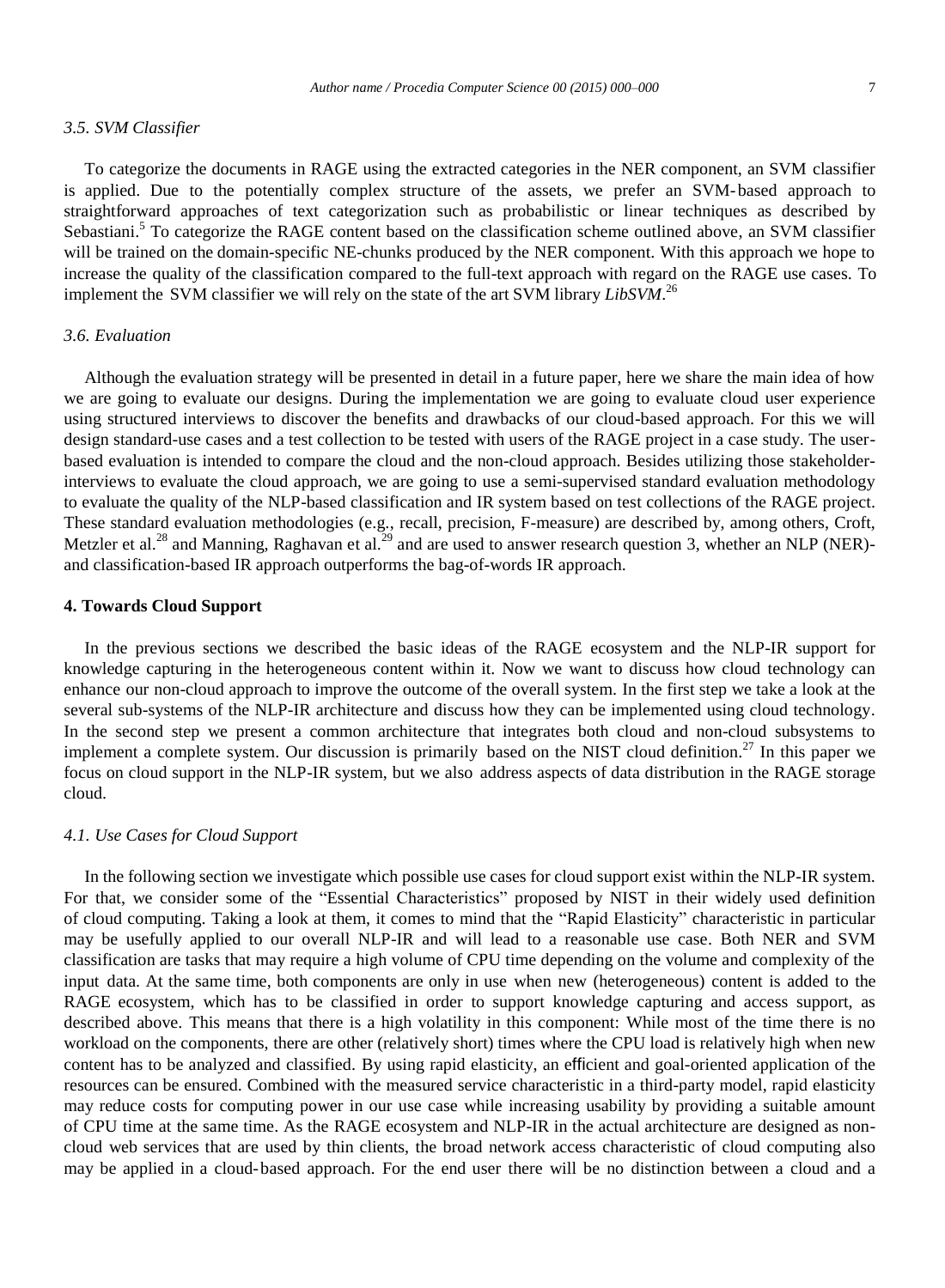#### *3.5. SVM Classifier*

To categorize the documents in RAGE using the extracted categories in the NER component, an SVM classifier is applied. Due to the potentially complex structure of the assets, we prefer an SVM-based approach to straightforward approaches of text categorization such as probabilistic or linear techniques as described by Sebastiani.<sup>5</sup> To categorize the RAGE content based on the classification scheme outlined above, an SVM classifier will be trained on the domain-specific NE-chunks produced by the NER component. With this approach we hope to increase the quality of the classification compared to the full-text approach with regard on the RAGE use cases. To implement the SVM classifier we will rely on the state of the art SVM library *LibSVM*. 26

# *3.6. Evaluation*

Although the evaluation strategy will be presented in detail in a future paper, here we share the main idea of how we are going to evaluate our designs. During the implementation we are going to evaluate cloud user experience using structured interviews to discover the benefits and drawbacks of our cloud-based approach. For this we will design standard-use cases and a test collection to be tested with users of the RAGE project in a case study. The userbased evaluation is intended to compare the cloud and the non-cloud approach. Besides utilizing those stakeholderinterviews to evaluate the cloud approach, we are going to use a semi-supervised standard evaluation methodology to evaluate the quality of the NLP-based classification and IR system based on test collections of the RAGE project. These standard evaluation methodologies (e.g., recall, precision, F-measure) are described by, among others, Croft, Metzler et al.<sup>28</sup> and Manning, Raghavan et al.<sup>29</sup> and are used to answer research question 3, whether an NLP (NER)and classification-based IR approach outperforms the bag-of-words IR approach.

# **4. Towards Cloud Support**

In the previous sections we described the basic ideas of the RAGE ecosystem and the NLP-IR support for knowledge capturing in the heterogeneous content within it. Now we want to discuss how cloud technology can enhance our non-cloud approach to improve the outcome of the overall system. In the first step we take a look at the several sub-systems of the NLP-IR architecture and discuss how they can be implemented using cloud technology. In the second step we present a common architecture that integrates both cloud and non-cloud subsystems to implement a complete system. Our discussion is primarily based on the NIST cloud definition.<sup>27</sup> In this paper we focus on cloud support in the NLP-IR system, but we also address aspects of data distribution in the RAGE storage cloud.

# *4.1. Use Cases for Cloud Support*

In the following section we investigate which possible use cases for cloud support exist within the NLP-IR system. For that, we consider some of the "Essential Characteristics" proposed by NIST in their widely used definition of cloud computing. Taking a look at them, it comes to mind that the "Rapid Elasticity" characteristic in particular may be usefully applied to our overall NLP-IR and will lead to a reasonable use case. Both NER and SVM classification are tasks that may require a high volume of CPU time depending on the volume and complexity of the input data. At the same time, both components are only in use when new (heterogeneous) content is added to the RAGE ecosystem, which has to be classified in order to support knowledge capturing and access support, as described above. This means that there is a high volatility in this component: While most of the time there is no workload on the components, there are other (relatively short) times where the CPU load is relatively high when new content has to be analyzed and classified. By using rapid elasticity, an efficient and goal-oriented application of the resources can be ensured. Combined with the measured service characteristic in a third-party model, rapid elasticity may reduce costs for computing power in our use case while increasing usability by providing a suitable amount of CPU time at the same time. As the RAGE ecosystem and NLP-IR in the actual architecture are designed as noncloud web services that are used by thin clients, the broad network access characteristic of cloud computing also may be applied in a cloud-based approach. For the end user there will be no distinction between a cloud and a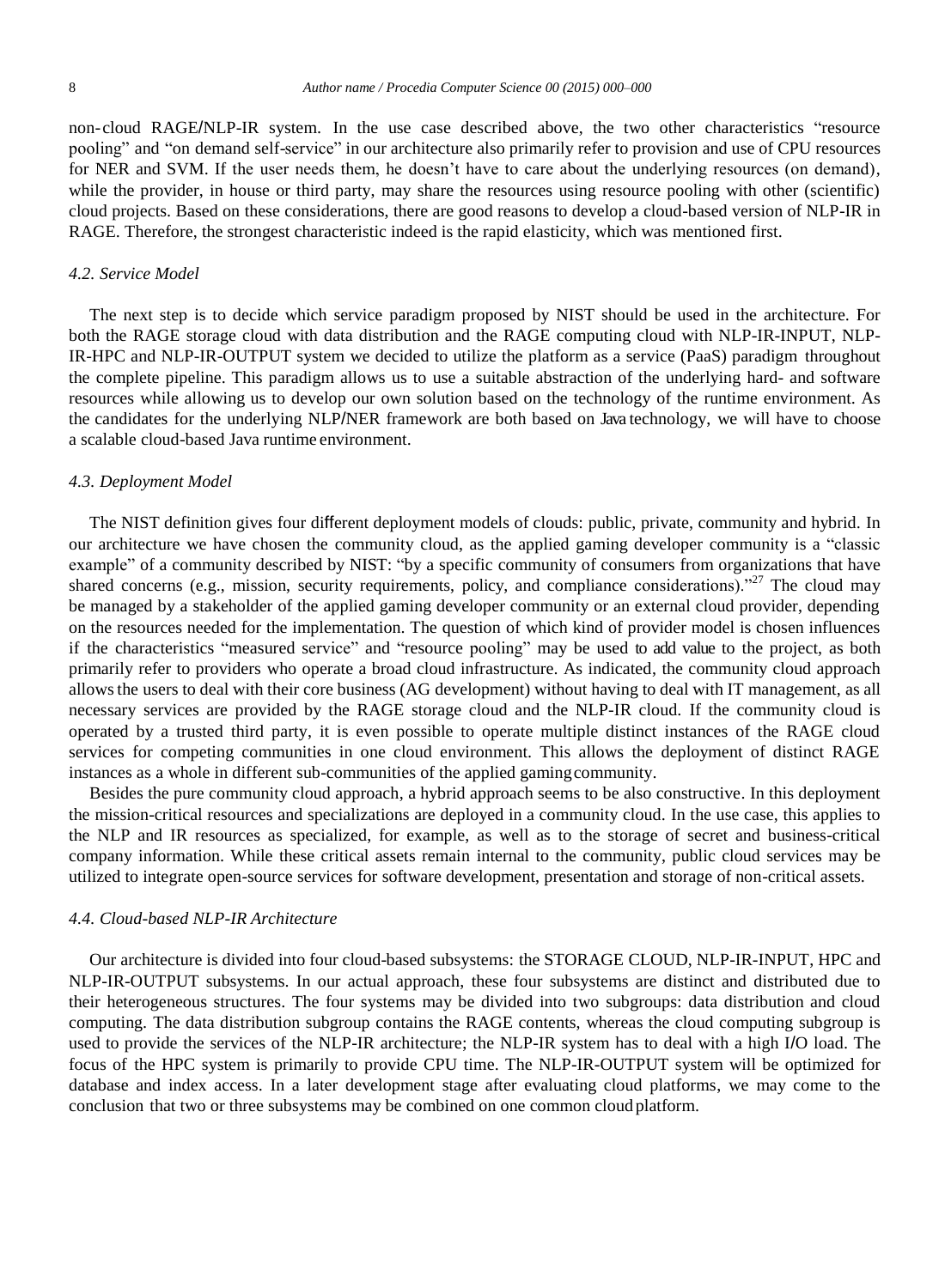non-cloud RAGE/NLP-IR system. In the use case described above, the two other characteristics "resource pooling" and "on demand self-service" in our architecture also primarily refer to provision and use of CPU resources for NER and SVM. If the user needs them, he doesn't have to care about the underlying resources (on demand), while the provider, in house or third party, may share the resources using resource pooling with other (scientific) cloud projects. Based on these considerations, there are good reasons to develop a cloud-based version of NLP-IR in RAGE. Therefore, the strongest characteristic indeed is the rapid elasticity, which was mentioned first.

# *4.2. Service Model*

The next step is to decide which service paradigm proposed by NIST should be used in the architecture. For both the RAGE storage cloud with data distribution and the RAGE computing cloud with NLP-IR-INPUT, NLP-IR-HPC and NLP-IR-OUTPUT system we decided to utilize the platform as a service (PaaS) paradigm throughout the complete pipeline. This paradigm allows us to use a suitable abstraction of the underlying hard- and software resources while allowing us to develop our own solution based on the technology of the runtime environment. As the candidates for the underlying NLP/NER framework are both based on Java technology, we will have to choose a scalable cloud-based Java runtime environment.

# *4.3. Deployment Model*

The NIST definition gives four different deployment models of clouds: public, private, community and hybrid. In our architecture we have chosen the community cloud, as the applied gaming developer community is a "classic example" of a community described by NIST: "by a specific community of consumers from organizations that have shared concerns (e.g., mission, security requirements, policy, and compliance considerations). $27$  The cloud may be managed by a stakeholder of the applied gaming developer community or an external cloud provider, depending on the resources needed for the implementation. The question of which kind of provider model is chosen influences if the characteristics "measured service" and "resource pooling" may be used to add value to the project, as both primarily refer to providers who operate a broad cloud infrastructure. As indicated, the community cloud approach allowsthe users to deal with their core business (AG development) without having to deal with IT management, as all necessary services are provided by the RAGE storage cloud and the NLP-IR cloud. If the community cloud is operated by a trusted third party, it is even possible to operate multiple distinct instances of the RAGE cloud services for competing communities in one cloud environment. This allows the deployment of distinct RAGE instances as a whole in different sub-communities of the applied gamingcommunity.

Besides the pure community cloud approach, a hybrid approach seems to be also constructive. In this deployment the mission-critical resources and specializations are deployed in a community cloud. In the use case, this applies to the NLP and IR resources as specialized, for example, as well as to the storage of secret and business-critical company information. While these critical assets remain internal to the community, public cloud services may be utilized to integrate open-source services for software development, presentation and storage of non-critical assets.

# <span id="page-8-0"></span>*4.4. Cloud-based NLP-IR Architecture*

Our architecture is divided into four cloud-based subsystems: the STORAGE CLOUD, NLP-IR-INPUT, HPC and NLP-IR-OUTPUT subsystems. In our actual approach, these four subsystems are distinct and distributed due to their heterogeneous structures. The four systems may be divided into two subgroups: data distribution and cloud computing. The data distribution subgroup contains the RAGE contents, whereas the cloud computing subgroup is used to provide the services of the NLP-IR architecture; the NLP-IR system has to deal with a high I/O load. The focus of the HPC system is primarily to provide CPU time. The NLP-IR-OUTPUT system will be optimized for database and index access. In a later development stage after evaluating cloud platforms, we may come to the conclusion that two or three subsystems may be combined on one common cloud platform.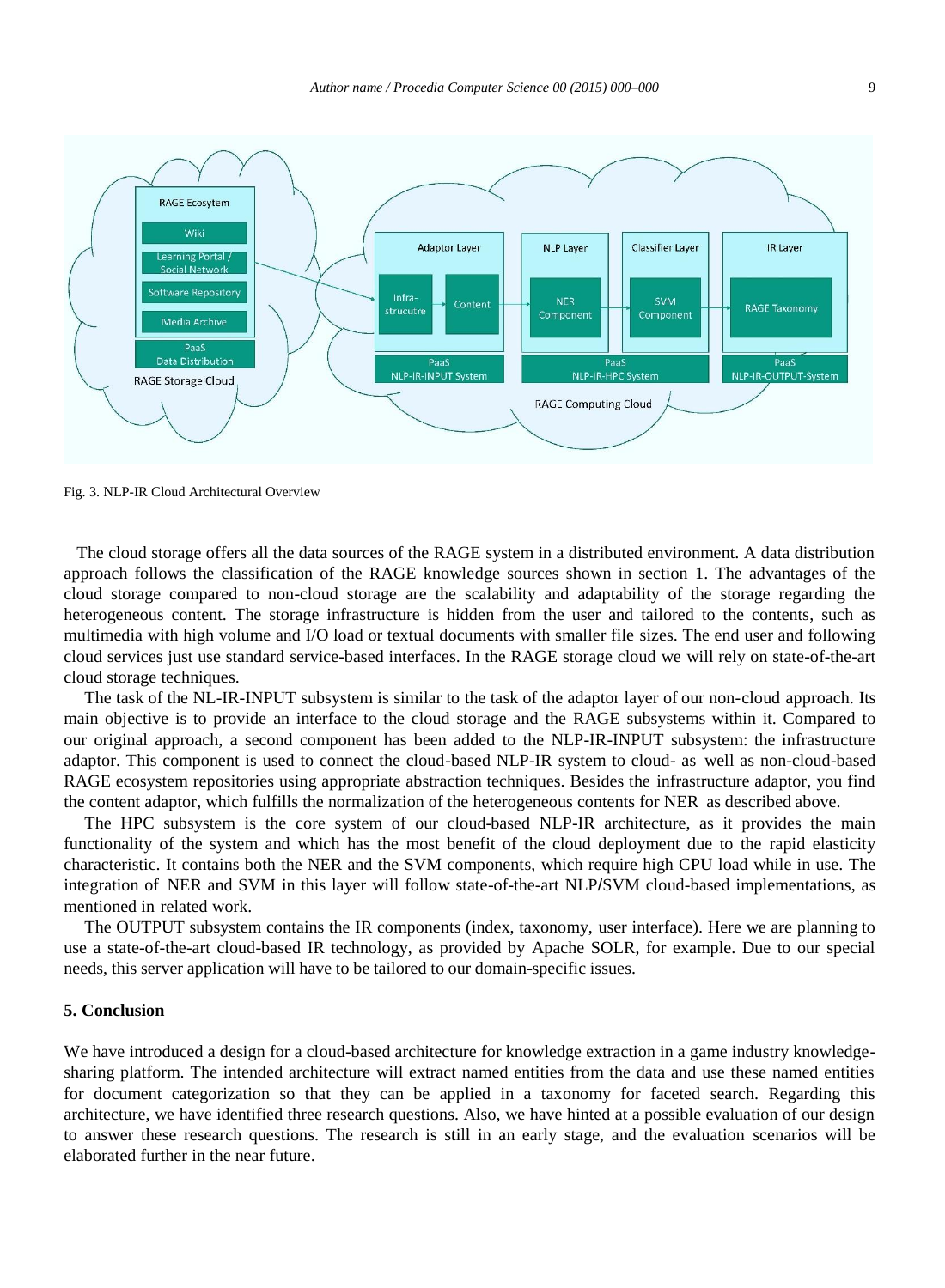

Fig. 3. NLP-IR Cloud Architectural Overview

The cloud storage offers all the data sources of the RAGE system in a distributed environment. A data distribution approach follows the classification of the RAGE knowledge sources shown in section [1.](#page-2-0) The advantages of the cloud storage compared to non-cloud storage are the scalability and adaptability of the storage regarding the heterogeneous content. The storage infrastructure is hidden from the user and tailored to the contents, such as multimedia with high volume and I/O load or textual documents with smaller file sizes. The end user and following cloud services just use standard service-based interfaces. In the RAGE storage cloud we will rely on state-of-the-art cloud storage techniques.

The task of the NL-IR-INPUT subsystem is similar to the task of the adaptor layer of our non-cloud approach. Its main objective is to provide an interface to the cloud storage and the RAGE subsystems within it. Compared to our original approach, a second component has been added to the NLP-IR-INPUT subsystem: the infrastructure adaptor. This component is used to connect the cloud-based NLP-IR system to cloud- as well as non-cloud-based RAGE ecosystem repositories using appropriate abstraction techniques. Besides the infrastructure adaptor, you find the content adaptor, which fulfills the normalization of the heterogeneous contents for NER as described above.

The HPC subsystem is the core system of our cloud-based NLP-IR architecture, as it provides the main functionality of the system and which has the most benefit of the cloud deployment due to the rapid elasticity characteristic. It contains both the NER and the SVM components, which require high CPU load while in use. The integration of NER and SVM in this layer will follow state-of-the-art NLP/SVM cloud-based implementations, as mentioned in related work.

The OUTPUT subsystem contains the IR components (index, taxonomy, user interface). Here we are planning to use a state-of-the-art cloud-based IR technology, as provided by Apache SOLR, for example. Due to our special needs, this server application will have to be tailored to our domain-specific issues.

# **5. Conclusion**

We have introduced a design for a cloud-based architecture for knowledge extraction in a game industry knowledgesharing platform. The intended architecture will extract named entities from the data and use these named entities for document categorization so that they can be applied in a taxonomy for faceted search. Regarding this architecture, we have identified three research questions. Also, we have hinted at a possible evaluation of our design to answer these research questions. The research is still in an early stage, and the evaluation scenarios will be elaborated further in the near future.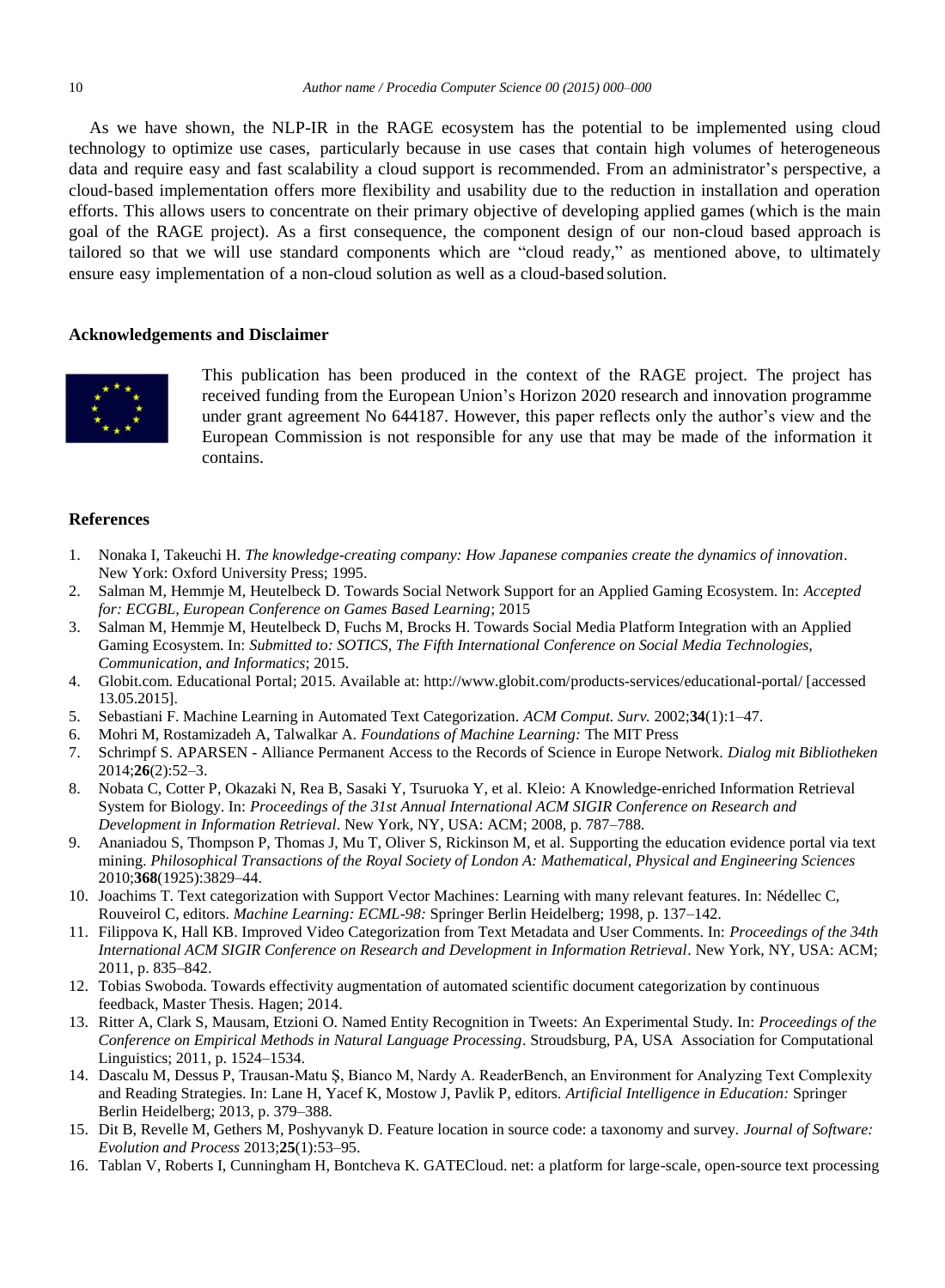As we have shown, the NLP-IR in the RAGE ecosystem has the potential to be implemented using cloud technology to optimize use cases, particularly because in use cases that contain high volumes of heterogeneous data and require easy and fast scalability a cloud support is recommended. From an administrator's perspective, a cloud-based implementation offers more flexibility and usability due to the reduction in installation and operation efforts. This allows users to concentrate on their primary objective of developing applied games (which is the main goal of the RAGE project). As a first consequence, the component design of our non-cloud based approach is tailored so that we will use standard components which are "cloud ready," as mentioned above, to ultimately ensure easy implementation of a non-cloud solution as well as a cloud-based solution.

# **Acknowledgements and Disclaimer**



This publication has been produced in the context of the RAGE project. The project has received funding from the European Union's Horizon 2020 research and innovation programme under grant agreement No 644187. However, this paper reflects only the author's view and the European Commission is not responsible for any use that may be made of the information it contains.

# **References**

- 1. Nonaka I, Takeuchi H. *The knowledge-creating company: How Japanese companies create the dynamics of innovation*. New York: Oxford University Press; 1995.
- 2. Salman M, Hemmje M, Heutelbeck D. Towards Social Network Support for an Applied Gaming Ecosystem. In: *Accepted for: ECGBL, European Conference on Games Based Learning*; 2015
- 3. Salman M, Hemmje M, Heutelbeck D, Fuchs M, Brocks H. Towards Social Media Platform Integration with an Applied Gaming Ecosystem. In: *Submitted to: SOTICS, The Fifth International Conference on Social Media Technologies, Communication, and Informatics*; 2015.
- 4. Globit.com. Educational Portal; 2015. Available at: http://www.globit.com/products-services/educational-portal/ [accessed 13.05.2015].
- 5. Sebastiani F. Machine Learning in Automated Text Categorization. *ACM Comput. Surv.* 2002;**34**(1):1–47.
- 6. Mohri M, Rostamizadeh A, Talwalkar A. *Foundations of Machine Learning:* The MIT Press
- 7. Schrimpf S. APARSEN Alliance Permanent Access to the Records of Science in Europe Network. *Dialog mit Bibliotheken* 2014;**26**(2):52–3.
- 8. Nobata C, Cotter P, Okazaki N, Rea B, Sasaki Y, Tsuruoka Y, et al. Kleio: A Knowledge-enriched Information Retrieval System for Biology. In: *Proceedings of the 31st Annual International ACM SIGIR Conference on Research and Development in Information Retrieval*. New York, NY, USA: ACM; 2008, p. 787–788.
- 9. Ananiadou S, Thompson P, Thomas J, Mu T, Oliver S, Rickinson M, et al. Supporting the education evidence portal via text mining. *Philosophical Transactions of the Royal Society of London A: Mathematical, Physical and Engineering Sciences* 2010;**368**(1925):3829–44.
- 10. Joachims T. Text categorization with Support Vector Machines: Learning with many relevant features. In: Nédellec C, Rouveirol C, editors. *Machine Learning: ECML-98:* Springer Berlin Heidelberg; 1998, p. 137–142.
- 11. Filippova K, Hall KB. Improved Video Categorization from Text Metadata and User Comments. In: *Proceedings of the 34th International ACM SIGIR Conference on Research and Development in Information Retrieval*. New York, NY, USA: ACM; 2011, p. 835–842.
- 12. Tobias Swoboda. Towards effectivity augmentation of automated scientific document categorization by continuous feedback, Master Thesis. Hagen; 2014.
- 13. Ritter A, Clark S, Mausam, Etzioni O. Named Entity Recognition in Tweets: An Experimental Study. In: *Proceedings of the Conference on Empirical Methods in Natural Language Processing*. Stroudsburg, PA, USA Association for Computational Linguistics; 2011, p. 1524–1534.
- 14. Dascalu M, Dessus P, Trausan-Matu Ş, Bianco M, Nardy A. ReaderBench, an Environment for Analyzing Text Complexity and Reading Strategies. In: Lane H, Yacef K, Mostow J, Pavlik P, editors. *Artificial Intelligence in Education:* Springer Berlin Heidelberg; 2013, p. 379–388.
- 15. Dit B, Revelle M, Gethers M, Poshyvanyk D. Feature location in source code: a taxonomy and survey. *Journal of Software: Evolution and Process* 2013;**25**(1):53–95.
- 16. Tablan V, Roberts I, Cunningham H, Bontcheva K. GATECloud. net: a platform for large-scale, open-source text processing